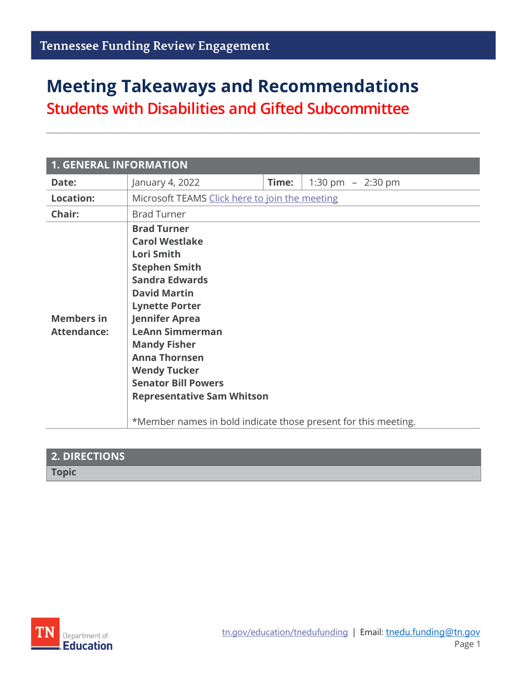# **Meeting Takeaways and Recommendations**

**Students with Disabilities and Gifted Subcommittee**

| <b>1. GENERAL INFORMATION</b>           |                                                                                                                                                                                                                                                                                                                                                                                                                                 |       |                     |  |
|-----------------------------------------|---------------------------------------------------------------------------------------------------------------------------------------------------------------------------------------------------------------------------------------------------------------------------------------------------------------------------------------------------------------------------------------------------------------------------------|-------|---------------------|--|
| Date:                                   | January 4, 2022                                                                                                                                                                                                                                                                                                                                                                                                                 | Time: | 1:30 pm $-$ 2:30 pm |  |
| <b>Location:</b>                        | Microsoft TEAMS Click here to join the meeting                                                                                                                                                                                                                                                                                                                                                                                  |       |                     |  |
| Chair:                                  | <b>Brad Turner</b>                                                                                                                                                                                                                                                                                                                                                                                                              |       |                     |  |
| <b>Members in</b><br><b>Attendance:</b> | <b>Brad Turner</b><br><b>Carol Westlake</b><br><b>Lori Smith</b><br><b>Stephen Smith</b><br><b>Sandra Edwards</b><br><b>David Martin</b><br><b>Lynette Porter</b><br><b>Jennifer Aprea</b><br><b>LeAnn Simmerman</b><br><b>Mandy Fisher</b><br><b>Anna Thornsen</b><br><b>Wendy Tucker</b><br><b>Senator Bill Powers</b><br><b>Representative Sam Whitson</b><br>*Member names in bold indicate those present for this meeting. |       |                     |  |

| <b>2. DIRECTIONS</b> |  |
|----------------------|--|
| <b>Topic</b>         |  |

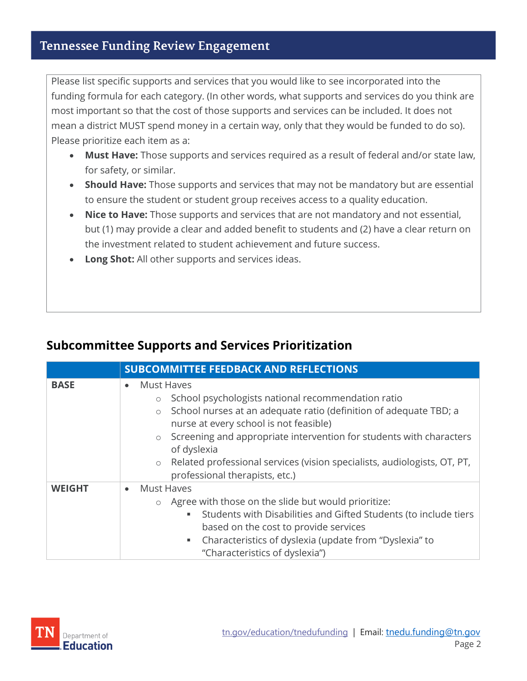#### **Tennessee Funding Review Engagement**

Please list specific supports and services that you would like to see incorporated into the funding formula for each category. (In other words, what supports and services do you think are most important so that the cost of those supports and services can be included. It does not mean a district MUST spend money in a certain way, only that they would be funded to do so). Please prioritize each item as a:

- **Must Have:** Those supports and services required as a result of federal and/or state law, for safety, or similar.
- **Should Have:** Those supports and services that may not be mandatory but are essential to ensure the student or student group receives access to a quality education.
- **Nice to Have:** Those supports and services that are not mandatory and not essential, but (1) may provide a clear and added benefit to students and (2) have a clear return on the investment related to student achievement and future success.
- **Long Shot:** All other supports and services ideas.

|               | <b>SUBCOMMITTEE FEEDBACK AND REFLECTIONS</b>                                                                                                                                                                                                                                                                                                                                                                                      |
|---------------|-----------------------------------------------------------------------------------------------------------------------------------------------------------------------------------------------------------------------------------------------------------------------------------------------------------------------------------------------------------------------------------------------------------------------------------|
| <b>BASE</b>   | <b>Must Haves</b><br>$\bullet$<br>School psychologists national recommendation ratio<br>$\circ$<br>School nurses at an adequate ratio (definition of adequate TBD; a<br>$\circ$<br>nurse at every school is not feasible)<br>o Screening and appropriate intervention for students with characters<br>of dyslexia<br>o Related professional services (vision specialists, audiologists, OT, PT,<br>professional therapists, etc.) |
| <b>WEIGHT</b> | <b>Must Haves</b><br>$\bullet$<br>o Agree with those on the slide but would prioritize:<br>Students with Disabilities and Gifted Students (to include tiers<br>٠<br>based on the cost to provide services<br>Characteristics of dyslexia (update from "Dyslexia" to<br>$\blacksquare$ .<br>"Characteristics of dyslexia")                                                                                                         |

#### **Subcommittee Supports and Services Prioritization**